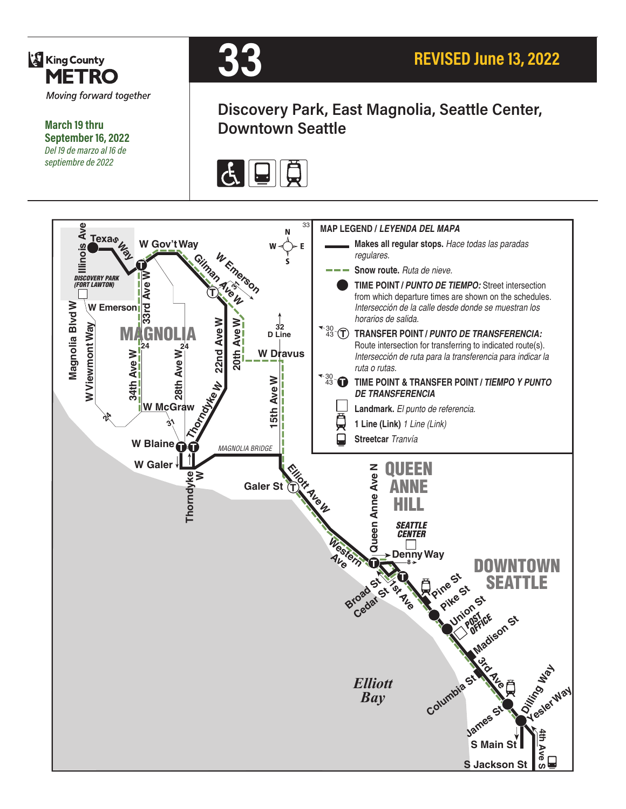

**March 19 thru September 16, 2022** *Del 19 de marzo al 16 de septiembre de 2022*



# **Discovery Park, East Magnolia, Seattle Center, Downtown Seattle**



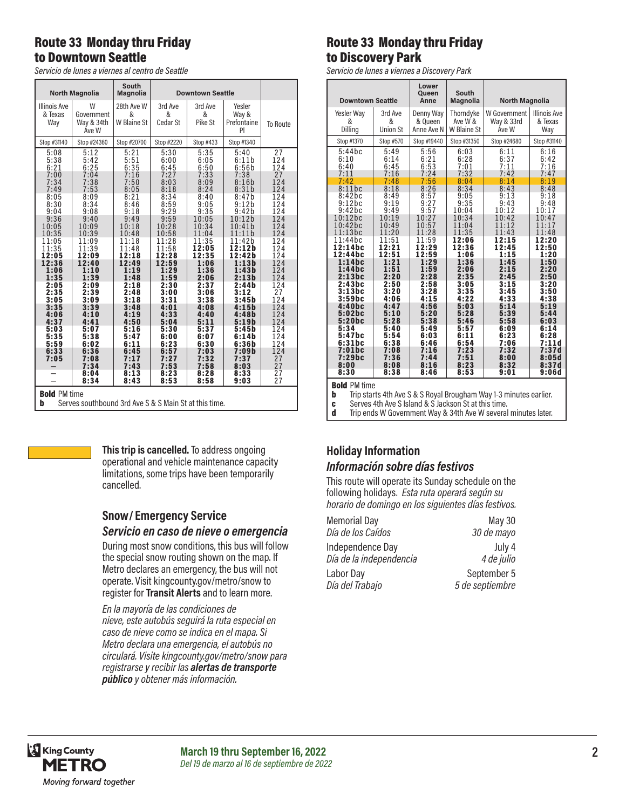### Route 33 Monday thru Friday to Downtown Seattle

*Servicio de lunes a viernes al centro de Seattle*

|                                       | <b>North Magnolia</b>                                                                          | <b>South</b><br><b>Magnolia</b> | <b>Downtown Seattle</b>      |                              |                                      |                         |  |
|---------------------------------------|------------------------------------------------------------------------------------------------|---------------------------------|------------------------------|------------------------------|--------------------------------------|-------------------------|--|
| <b>Illinois Ave</b><br>& Texas<br>Way | W<br>Government<br>Way & 34th<br>Ave W                                                         | 28th Ave W<br>&<br>W Blaine St  | 3rd Ave<br>&<br>Cedar St     | 3rd Ave<br>&<br>Pike St      | Yesler<br>Way &<br>Prefontaine<br>PI | To Route                |  |
| Stop #31140                           | Stop #24360                                                                                    | Stop #20700                     | Stop #2220                   | Stop #433                    | Stop #1340                           |                         |  |
| 5:08                                  | 5:12                                                                                           | 5:21                            | 5:30                         | 5:35                         | 5:40                                 | 27                      |  |
| 5:38                                  | 5:42                                                                                           | 5:51                            | 6:00                         | 6:05                         | 6:11b                                | 124                     |  |
| 6:21                                  | 6:25                                                                                           | 6:35                            | 6:45                         | 6:50                         | 6:56b                                | 124                     |  |
| 7:00<br>7:34<br>7:49                  | 7:04<br>7:38<br>7:53                                                                           | 7:16<br>7:50<br>8:05<br>8:21    | 7:27<br>8:03<br>8:18         | 7:33<br>8:09<br>8:24<br>8:40 | 7:38<br>8:16b<br>8:31b               | 27<br>124<br>124<br>124 |  |
| 8:05<br>8:30<br>9:04<br>9:36          | 8:09<br>8:34<br>9:08<br>9:40                                                                   | 8:46<br>9:18<br>9:49            | 8:34<br>8:59<br>9:29<br>9:59 | 9:05<br>9:35<br>10:05        | 8:47b<br>9:12b<br>9:42b<br>10:12b    | 124<br>124<br>124       |  |
| 10:05                                 | 10:09                                                                                          | 10:18                           | 10:28                        | 10:34                        | 10:41b                               | 124                     |  |
| 10:35                                 | 10:39                                                                                          | 10:48                           | 10:58                        | 11:04                        | 11:11b                               | 124                     |  |
| 11:05                                 | 11:09                                                                                          | 11:18                           | 11:28                        | 11:35                        | 11:42b                               | 124                     |  |
| 11:35                                 | 11:39                                                                                          | 11:48                           | 11:58                        | 12:05                        | 12:12b                               | 124                     |  |
| 12:05                                 | 12:09                                                                                          | 12:18                           | 12:28                        | 12:35                        | 12:42b                               | 124                     |  |
| 12:36                                 | 12:40                                                                                          | 12:49                           | 12:59                        | 1:06                         | 1:13b                                | 124                     |  |
| 1:06                                  | 1:10                                                                                           | 1:19                            | 1:29                         | 1:36                         | 1:43b                                | 124                     |  |
| 1:35                                  | 1:39                                                                                           | 1:48                            | 1:59                         | 2:06                         | 2:13b                                | 124                     |  |
| 2:05                                  | 2:09                                                                                           | 2:18                            | 2:30                         | 2:37                         | 2:44b                                | 124                     |  |
| 2:35                                  | 2:39                                                                                           | 2:48                            | 3:00                         | 3:06                         | 3:12                                 | 27                      |  |
| 3:05                                  | 3:09                                                                                           | 3:18                            | 3:31                         | 3:38                         | 3:45b                                | 124                     |  |
| 3:35                                  | 3:39                                                                                           | 3:48                            | 4:01                         | 4:08                         | 4:15b                                | 124                     |  |
| 4:06                                  | 4:10                                                                                           | 4:19                            | 4:33                         | 4:40                         | 4:48b                                | 124                     |  |
| 4:37                                  | 4:41                                                                                           | 4:50                            | 5:04                         | 5:11                         | 5:19b                                | 124                     |  |
| 5:03                                  | 5:07                                                                                           | 5:16                            | 5:30                         | 5:37                         | 5:45b                                | 124                     |  |
| 5:35                                  | 5:38                                                                                           | 5:47                            | 6:00                         | 6:07                         | 6:14b                                | 124                     |  |
| 5:59                                  | 6:02                                                                                           | 6:11                            | 6:23                         | 6:30                         | 6:36b                                | 124                     |  |
| 6:33<br>7:05                          | 6:36<br>7:08<br>7:34                                                                           | 6:45<br>7:17<br>7:43            | 6:57<br>7:27<br>7:53         | 7:03<br>7:32<br>7:58         | 7:09b<br>7:37<br>8:03                | 124<br>27<br>27         |  |
|                                       | 8:04                                                                                           | 8:13                            | 8:23                         | 8:28                         | 8:33                                 | 27                      |  |
|                                       | 8:34                                                                                           | 8:43                            | 8:53                         | 8:58                         | 9:03                                 | 27                      |  |
|                                       | <b>Bold PM time</b><br>Alberta<br>. 1 <b>0</b> 1 <b>A</b><br>$0.0.011 \pm 0.01$ and $\pm 1.01$ |                                 |                              |                              |                                      |                         |  |

**b** Serves southbound 3rd Ave S & S Main St at this time.



**This trip is cancelled.** To address ongoing operational and vehicle maintenance capacity limitations, some trips have been temporarily cancelled.

#### **Snow/ Emergency Service**  *Servicio en caso de nieve o emergencia*

During most snow conditions, this bus will follow the special snow routing shown on the map. If Metro declares an emergency, the bus will not operate. Visit kingcounty.gov/metro/snow to register for **Transit Alerts** and to learn more.

*En la mayoría de las condiciones de nieve, este autobús seguirá la ruta especial en caso de nieve como se indica en el mapa. Si Metro declara una emergencia, el autobús no circulará. Visite kingcounty.gov/metro/snow para registrarse y recibir las alertas de transporte público y obtener más información.*

### Route 33 Monday thru Friday to Discovery Park

*Servicio de lunes a viernes a Discovery Park*

| <b>Downtown Seattle</b> |                 | Lower<br>Queen<br>Anne | South<br><b>Magnolia</b> | <b>North Magnolia</b> |                     |
|-------------------------|-----------------|------------------------|--------------------------|-----------------------|---------------------|
| Yesler Way              | 3rd Ave         | Denny Way              | Thorndyke                | W Government          | <b>Illinois Ave</b> |
| &                       | &               | & Queen                | Ave W &                  | Way & 33rd            | & Texas             |
| Dilling                 | <b>Union St</b> | Anne Ave N             | W Blaine St              | Ave W                 | Way                 |
| Stop #1370              | Stop #570       | Stop #19440            | Stop #31350              | Stop #24680           | Stop #31140         |
| 5:44bc                  | 5:49            | 5:56                   | 6:03                     | 6:11                  | 6:16                |
| 6:10                    | 6:14            | 6:21                   | 6:28                     | 6:37                  | 6:42                |
| 6:40                    | 6:45            | 6:53                   | 7:01                     | 7:11                  | 7:16                |
| 7:11                    | 7:16            | 7:24                   | 7:32                     | 7:42                  | 7:47                |
| 7:42                    | 7:48            | 7:56                   | 8:04                     | 8:14                  | 8:19                |
| 8:11bc                  | 8:18            | 8:26                   | 8:34                     | 8:43                  | 8:48                |
| 8:42bc                  | 8:49            | 8:57                   | 9:05                     | 9:13                  | 9:18                |
| 9:12bc                  | 9:19            | 9:27                   | 9:35                     | 9:43                  | 9:48                |
| 9:42bc                  | 9:49            | 9:57                   | 10:04                    | 10:12                 | 10:17               |
| 10:12bc                 | 10:19           | 10:27                  | 10:34                    | 10:42                 | 10:47               |
| 10:42bc                 | 10:49           | 10:57                  | 11:04                    | 11:12                 | 11:17               |
| 11:13bc                 | 11:20           | 11:28                  | 11:35                    | 11:43                 | 11:48               |
| 11:44bc                 | 11:51           | 11:59                  | 12:06                    | 12:15                 | 12:20               |
| 12:14 b c               | 12:21           | 12:29                  | 12:36                    | 12:45                 | 12:50               |
| 12:44bc                 | 12:51           | 12:59                  | 1:06                     | 1:15                  | 1:20                |
| 1:14bc                  | 1:21            | 1:29                   | 1:36                     | 1:45                  | 1:50                |
| 1:44 bc                 | 1:51            | 1:59                   | 2:06                     | 2:15                  | 2:20                |
| 2:13bc                  | 2:20            | 2:28                   | 2:35                     | 2:45                  | 2:50                |
| 2:43bc                  | 2:50            | 2:58                   | 3:05                     | 3:15                  | 3:20                |
| 3:13bc                  | 3:20            | 3:28                   | 3:35                     | 3:45                  | 3:50                |
| 3:59bc                  | 4:06            | 4:15                   | 4:22                     | 4:33                  | 4:38                |
| 4:40bc                  | 4:47            | 4:56                   | 5:03                     | 5:14                  | 5:19                |
| 5:02bc                  | 5:10            | 5:20                   | 5:28                     | 5:39                  | 5:44                |
| 5:20bc                  | 5:28            | 5:38                   | 5:46                     | 5:58                  | 6:03                |
| 5:34                    | 5:40            | 5:49                   | 5:57                     | 6:09                  | 6:14                |
| 5:47bc                  | 5:54            | 6:03                   | 6:11                     | 6:23                  | 6:28                |
| 6:31bc                  | 6:38            | 6:46                   | 6:54                     | 7:06                  | 7:11d               |
| 7:01bc                  | 7:08            | 7:16                   | 7:23                     | 7:32                  | 7:37d               |
| 7:29bc                  | 7:36            | 7:44                   | 7:51                     | 8:00                  | 8:05d               |
| 8:00                    | 8:08            | 8:16                   | 8:23                     | 8:32                  | 8:37d               |
| 8:30                    | 8:38            | 8:46                   | 8:53                     | 9:01                  | 9:06d               |

**Bold PM time**<br>**h** Trin start

Trip starts 4th Ave S & S Royal Brougham Way 1-3 minutes earlier.

**c** Serves 4th Ave S Island & S Jackson St at this time.<br> **d** Trip ends W Government Way & 34th Ave W several

Trip ends W Government Way & 34th Ave W several minutes later.

# **Holiday Information**

*Información sobre días festivos*

This route will operate its Sunday schedule on the following holidays. *Esta ruta operará según su horario de domingo en los siguientes días festivos.*

| <b>Memorial Day</b>     | May 30          |
|-------------------------|-----------------|
| Día de los Caídos       | 30 de mayo      |
| Independence Day        | July 4          |
| Día de la independencia | 4 de julio      |
| Labor Day               | September 5     |
| Día del Trabajo         | 5 de septiembre |